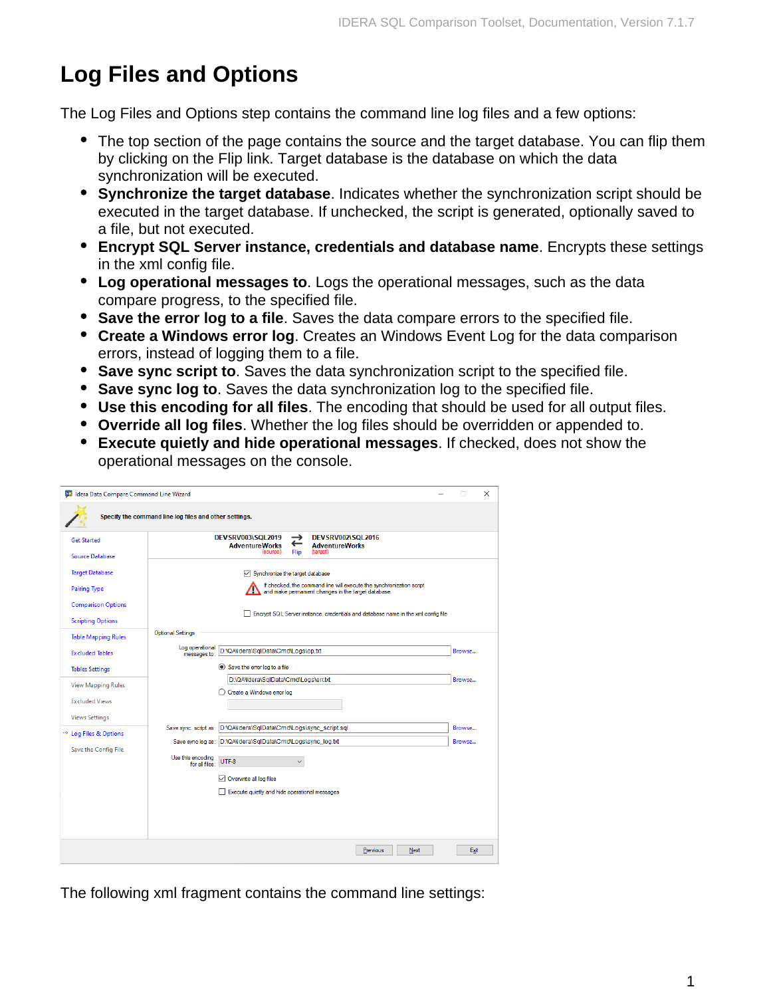## **Log Files and Options**

The Log Files and Options step contains the command line log files and a few options:

- The top section of the page contains the source and the target database. You can flip them by clicking on the Flip link. Target database is the database on which the data synchronization will be executed.
- **Synchronize the target database**. Indicates whether the synchronization script should be executed in the target database. If unchecked, the script is generated, optionally saved to a file, but not executed.
- **Encrypt SQL Server instance, credentials and database name**. Encrypts these settings in the xml config file.
- **Log operational messages to**. Logs the operational messages, such as the data compare progress, to the specified file.
- **Save the error log to a file**. Saves the data compare errors to the specified file.
- **Create a Windows error log**. Creates an Windows Event Log for the data comparison errors, instead of logging them to a file.
- **Save sync script to**. Saves the data synchronization script to the specified file.
- **Save sync log to**. Saves the data synchronization log to the specified file.
- **Use this encoding for all files**. The encoding that should be used for all output files.
- **Override all log files**. Whether the log files should be overridden or appended to.
- **Execute quietly and hide operational messages**. If checked, does not show the operational messages on the console.

| <b>Get Started</b>                | <b>DEVSRV003\SQL2019</b><br>DEVSRV002\SQL2016<br>$\rightarrow$                                                             |        |  |
|-----------------------------------|----------------------------------------------------------------------------------------------------------------------------|--------|--|
| <b>Source Database</b>            | ←<br><b>AdventureWorks</b><br><b>AdventureWorks</b><br>(source)<br>Flip<br>(target)                                        |        |  |
| <b>Target Database</b>            | $\vee$ Synchronize the target database                                                                                     |        |  |
| <b>Pairing Type</b>               | If checked, the command line will execute the synchronization script<br>and make permament changes in the target database. |        |  |
| <b>Comparison Options</b>         |                                                                                                                            |        |  |
| <b>Scripting Options</b>          | Encrypt SQL Server instance, credentials and database name in the xml config file                                          |        |  |
| <b>Table Mapping Rules</b>        | <b>Optional Settings</b>                                                                                                   |        |  |
| <b>Excluded Tables</b>            | Log operational<br>D:\QA\Idera\SqlData\Cmd\Logs\op.txt<br>messages to:                                                     | Browse |  |
| <b>Tables Settings</b>            | Save the error log to a file                                                                                               |        |  |
| <b>View Mapping Rules</b>         | D:\QA\Idera\SqlData\Cmd\Logs\err.txt                                                                                       | Browse |  |
| <b>Excluded Views</b>             | ◯ Create a Windows error log                                                                                               |        |  |
| <b>Views Settings</b>             |                                                                                                                            |        |  |
| $\rightarrow$ Log Files & Options | D:\QA\Idera\SqlData\Cmd\Logs\sync_script.sql<br>Save sync, script as:                                                      | Browse |  |
| Save the Config File              | Save sync log as: D:\QA\Idera\SqlData\Cmd\Logs\sync_log.txt                                                                | Browse |  |
|                                   | Use this encoding<br>UTF-8<br>for all files:                                                                               |        |  |
|                                   | $\triangledown$ Overwrite all log files                                                                                    |        |  |
|                                   | Execute quietly and hide operational messages                                                                              |        |  |
|                                   |                                                                                                                            |        |  |
|                                   |                                                                                                                            |        |  |

The following xml fragment contains the command line settings: